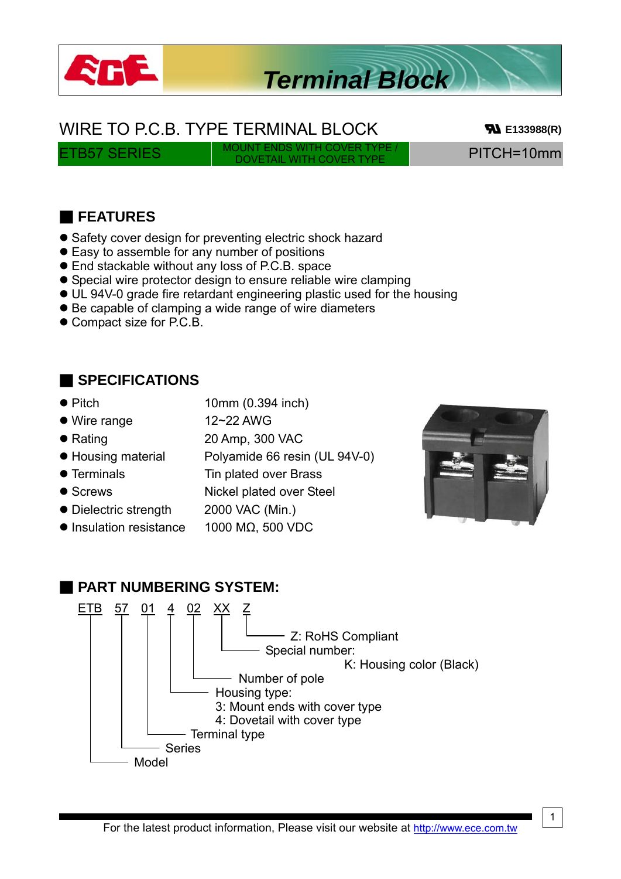

# *Terminal Block*

#### WIRE TO P.C.B. TYPE TERMINAL BLOCK **BLOCK E133988(R)**

ETB57 SERIES MOUNT ENDS WITH COVER TYPE

PITCH=10mm

#### ■ **FEATURES**

- Safety cover design for preventing electric shock hazard
- Easy to assemble for any number of positions
- **•** End stackable without any loss of P.C.B. space
- Special wire protector design to ensure reliable wire clamping
- UL 94V-0 grade fire retardant engineering plastic used for the housing
- Be capable of clamping a wide range of wire diameters
- Compact size for P.C.B.

#### ■ **SPECIFICATIONS**

- Pitch 10mm (0.394 inch)
- Wire range 12~22 AWG

● Housing material Polyamide 66 resin (UL 94V-0)

- 
- 
- Dielectric strength 2000 VAC (Min.)
- $\bullet$  Insulation resistance 1000 MΩ, 500 VDC

• Rating 20 Amp, 300 VAC

- Terminals Tin plated over Brass
- Screws Nickel plated over Steel
	-
	-



### ■ **PART NUMBERING SYSTEM:**

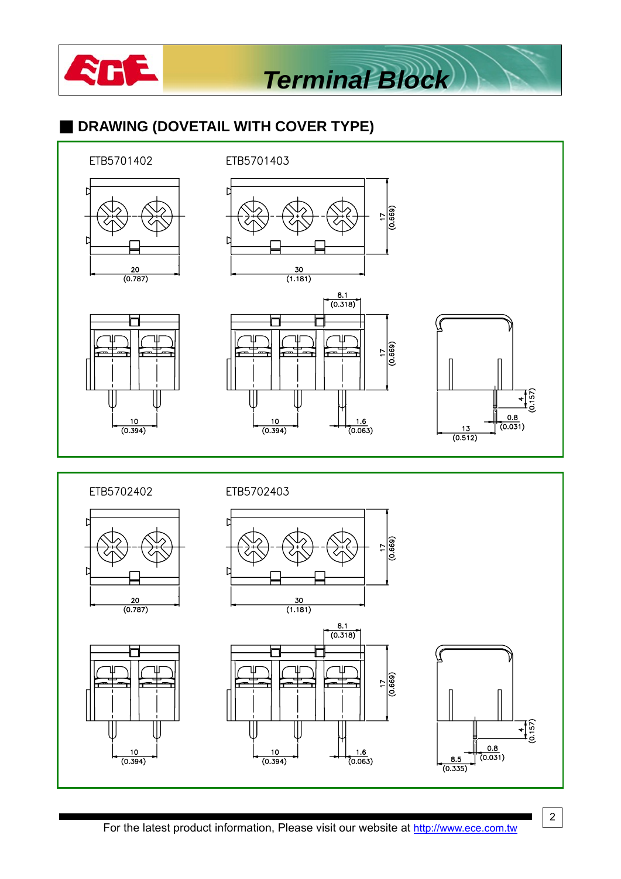

 $(0.394)$ 

*Terminal Block*

### ■ **DRAWING (DOVETAIL WITH COVER TYPE)**



For the latest product information, Please visit our website at http://www.ece.com.tw

2